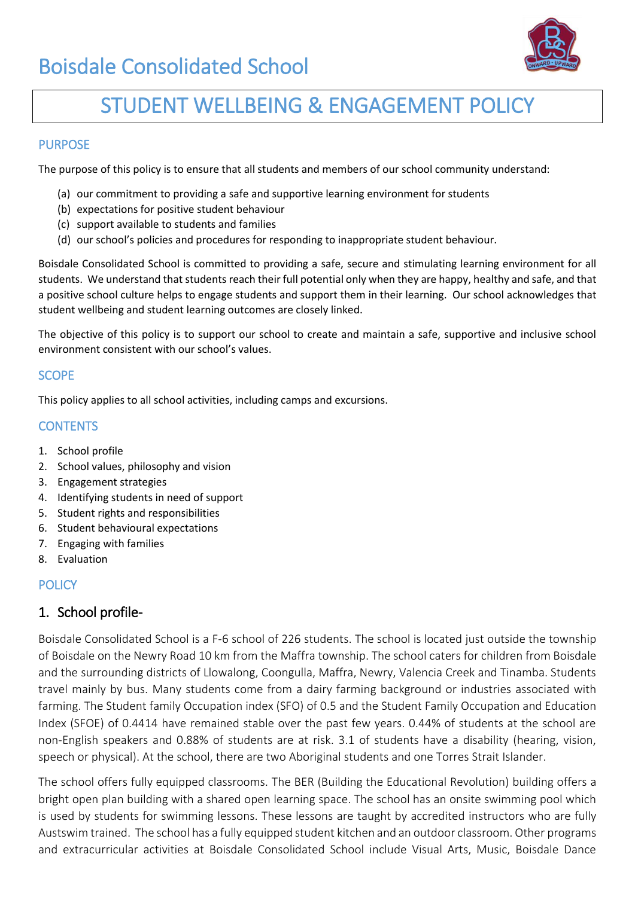

# STUDENT WELLBEING & ENGAGEMENT POLICY

#### PURPOSE

The purpose of this policy is to ensure that all students and members of our school community understand:

- (a) our commitment to providing a safe and supportive learning environment for students
- (b) expectations for positive student behaviour
- (c) support available to students and families
- (d) our school's policies and procedures for responding to inappropriate student behaviour.

Boisdale Consolidated School is committed to providing a safe, secure and stimulating learning environment for all students. We understand that students reach their full potential only when they are happy, healthy and safe, and that a positive school culture helps to engage students and support them in their learning. Our school acknowledges that student wellbeing and student learning outcomes are closely linked.

The objective of this policy is to support our school to create and maintain a safe, supportive and inclusive school environment consistent with our school's values.

## **SCOPE**

This policy applies to all school activities, including camps and excursions.

## **CONTENTS**

- 1. School profile
- 2. School values, philosophy and vision
- 3. Engagement strategies
- 4. Identifying students in need of support
- 5. Student rights and responsibilities
- 6. Student behavioural expectations
- 7. Engaging with families
- 8. Evaluation

#### **POLICY**

## 1. School profile-

Boisdale Consolidated School is a F-6 school of 226 students. The school is located just outside the township of Boisdale on the Newry Road 10 km from the Maffra township. The school caters for children from Boisdale and the surrounding districts of Llowalong, Coongulla, Maffra, Newry, Valencia Creek and Tinamba. Students travel mainly by bus. Many students come from a dairy farming background or industries associated with farming. The Student family Occupation index (SFO) of 0.5 and the Student Family Occupation and Education Index (SFOE) of 0.4414 have remained stable over the past few years. 0.44% of students at the school are non-English speakers and 0.88% of students are at risk. 3.1 of students have a disability (hearing, vision, speech or physical). At the school, there are two Aboriginal students and one Torres Strait Islander.

The school offers fully equipped classrooms. The BER (Building the Educational Revolution) building offers a bright open plan building with a shared open learning space. The school has an onsite swimming pool which is used by students for swimming lessons. These lessons are taught by accredited instructors who are fully Austswim trained. The school has a fully equipped student kitchen and an outdoor classroom. Other programs and extracurricular activities at Boisdale Consolidated School include Visual Arts, Music, Boisdale Dance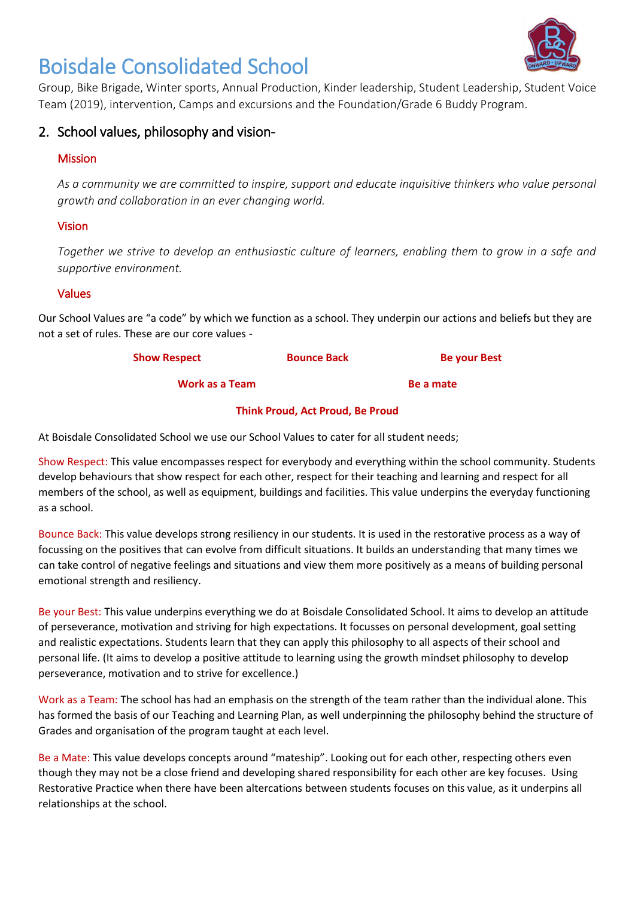

Group, Bike Brigade, Winter sports, Annual Production, Kinder leadership, Student Leadership, Student Voice Team (2019), intervention, Camps and excursions and the Foundation/Grade 6 Buddy Program.

## 2. School values, philosophy and vision-

## Mission

*As a community we are committed to inspire, support and educate inquisitive thinkers who value personal growth and collaboration in an ever changing world.*

## Vision

*Together we strive to develop an enthusiastic culture of learners, enabling them to grow in a safe and supportive environment.*

#### Values

Our School Values are "a code" by which we function as a school. They underpin our actions and beliefs but they are not a set of rules. These are our core values -

| <b>Show Respect</b> | <b>Bounce Back</b> | <b>Be your Best</b> |
|---------------------|--------------------|---------------------|
|                     |                    |                     |

**Work as a Team Be a mate** 

#### **Think Proud, Act Proud, Be Proud**

At Boisdale Consolidated School we use our School Values to cater for all student needs;

Show Respect: This value encompasses respect for everybody and everything within the school community. Students develop behaviours that show respect for each other, respect for their teaching and learning and respect for all members of the school, as well as equipment, buildings and facilities. This value underpins the everyday functioning as a school.

Bounce Back: This value develops strong resiliency in our students. It is used in the restorative process as a way of focussing on the positives that can evolve from difficult situations. It builds an understanding that many times we can take control of negative feelings and situations and view them more positively as a means of building personal emotional strength and resiliency.

Be your Best: This value underpins everything we do at Boisdale Consolidated School. It aims to develop an attitude of perseverance, motivation and striving for high expectations. It focusses on personal development, goal setting and realistic expectations. Students learn that they can apply this philosophy to all aspects of their school and personal life. (It aims to develop a positive attitude to learning using the growth mindset philosophy to develop perseverance, motivation and to strive for excellence.)

Work as a Team: The school has had an emphasis on the strength of the team rather than the individual alone. This has formed the basis of our Teaching and Learning Plan, as well underpinning the philosophy behind the structure of Grades and organisation of the program taught at each level.

Be a Mate: This value develops concepts around "mateship". Looking out for each other, respecting others even though they may not be a close friend and developing shared responsibility for each other are key focuses. Using Restorative Practice when there have been altercations between students focuses on this value, as it underpins all relationships at the school.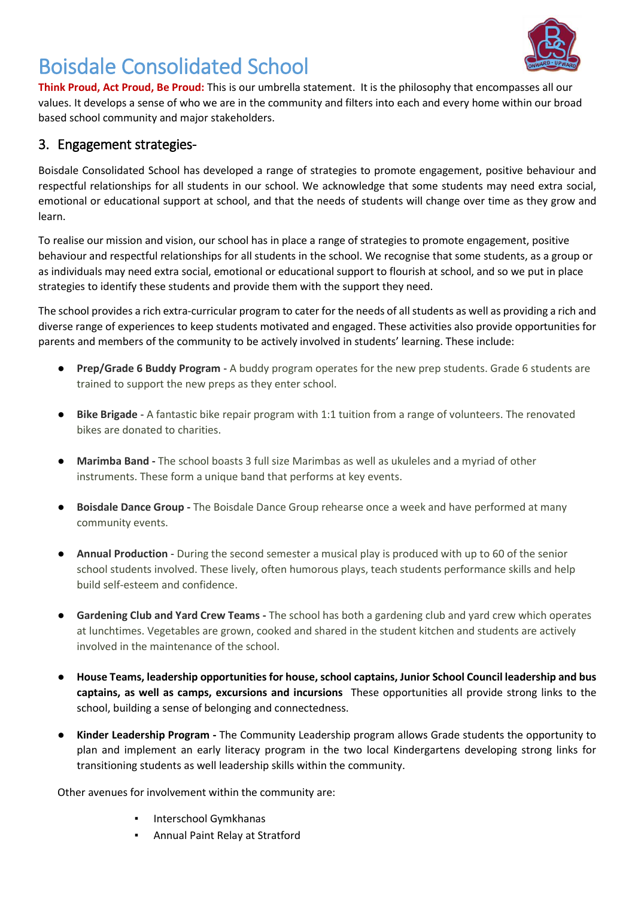

**Think Proud, Act Proud, Be Proud:** This is our umbrella statement. It is the philosophy that encompasses all our values. It develops a sense of who we are in the community and filters into each and every home within our broad based school community and major stakeholders.

## 3. Engagement strategies-

Boisdale Consolidated School has developed a range of strategies to promote engagement, positive behaviour and respectful relationships for all students in our school. We acknowledge that some students may need extra social, emotional or educational support at school, and that the needs of students will change over time as they grow and learn.

To realise our mission and vision, our school has in place a range of strategies to promote engagement, positive behaviour and respectful relationships for all students in the school. We recognise that some students, as a group or as individuals may need extra social, emotional or educational support to flourish at school, and so we put in place strategies to identify these students and provide them with the support they need.

The school provides a rich extra-curricular program to cater for the needs of all students as well as providing a rich and diverse range of experiences to keep students motivated and engaged. These activities also provide opportunities for parents and members of the community to be actively involved in students' learning. These include:

- **Prep/Grade 6 Buddy Program** A buddy program operates for the new prep students. Grade 6 students are trained to support the new preps as they enter school.
- **Bike Brigade** A fantastic bike repair program with 1:1 tuition from a range of volunteers. The renovated bikes are donated to charities.
- **Marimba Band -** The school boasts 3 full size Marimbas as well as ukuleles and a myriad of other instruments. These form a unique band that performs at key events.
- **Boisdale Dance Group -** The Boisdale Dance Group rehearse once a week and have performed at many community events.
- **Annual Production** During the second semester a musical play is produced with up to 60 of the senior school students involved. These lively, often humorous plays, teach students performance skills and help build self-esteem and confidence.
- **Gardening Club and Yard Crew Teams -** The school has both a gardening club and yard crew which operates at lunchtimes. Vegetables are grown, cooked and shared in the student kitchen and students are actively involved in the maintenance of the school.
- **House Teams, leadership opportunities for house, school captains, Junior School Council leadership and bus captains, as well as camps, excursions and incursions** These opportunities all provide strong links to the school, building a sense of belonging and connectedness.
- **Kinder Leadership Program -** The Community Leadership program allows Grade students the opportunity to plan and implement an early literacy program in the two local Kindergartens developing strong links for transitioning students as well leadership skills within the community.

Other avenues for involvement within the community are:

- **Interschool Gymkhanas**
- Annual Paint Relay at Stratford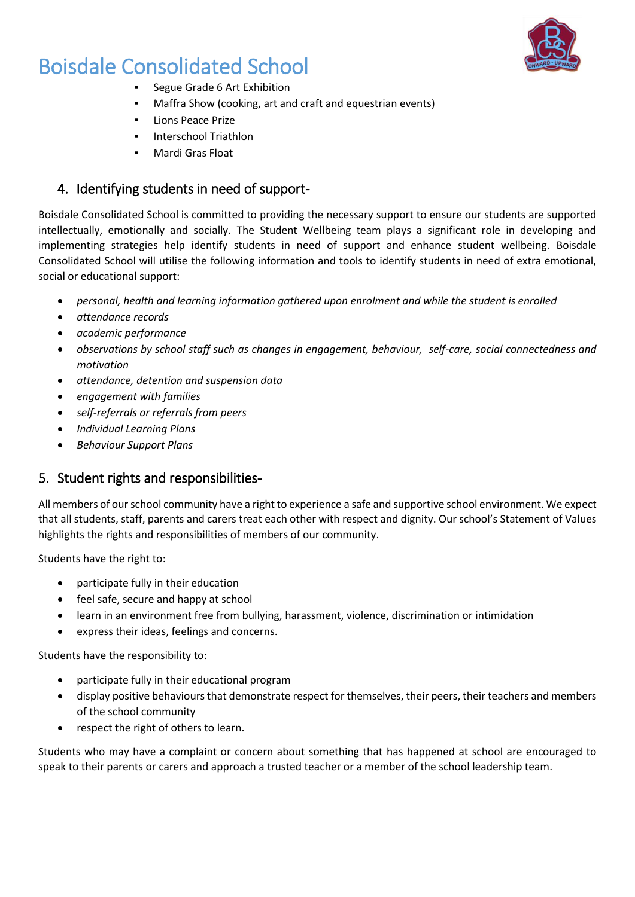

- Segue Grade 6 Art Exhibition
- Maffra Show (cooking, art and craft and equestrian events)
- Lions Peace Prize
- **Interschool Triathlon**
- Mardi Gras Float

## 4. Identifying students in need of support-

Boisdale Consolidated School is committed to providing the necessary support to ensure our students are supported intellectually, emotionally and socially. The Student Wellbeing team plays a significant role in developing and implementing strategies help identify students in need of support and enhance student wellbeing. Boisdale Consolidated School will utilise the following information and tools to identify students in need of extra emotional, social or educational support:

- *personal, health and learning information gathered upon enrolment and while the student is enrolled*
- *attendance records*
- *academic performance*
- *observations by school staff such as changes in engagement, behaviour, self-care, social connectedness and motivation*
- *attendance, detention and suspension data*
- *engagement with families*
- *self-referrals or referrals from peers*
- *Individual Learning Plans*
- *Behaviour Support Plans*

## 5. Student rights and responsibilities-

All members of our school community have a right to experience a safe and supportive school environment. We expect that all students, staff, parents and carers treat each other with respect and dignity. Our school's Statement of Values highlights the rights and responsibilities of members of our community.

Students have the right to:

- participate fully in their education
- feel safe, secure and happy at school
- learn in an environment free from bullying, harassment, violence, discrimination or intimidation
- express their ideas, feelings and concerns.

Students have the responsibility to:

- participate fully in their educational program
- display positive behaviours that demonstrate respect for themselves, their peers, their teachers and members of the school community
- respect the right of others to learn.

Students who may have a complaint or concern about something that has happened at school are encouraged to speak to their parents or carers and approach a trusted teacher or a member of the school leadership team.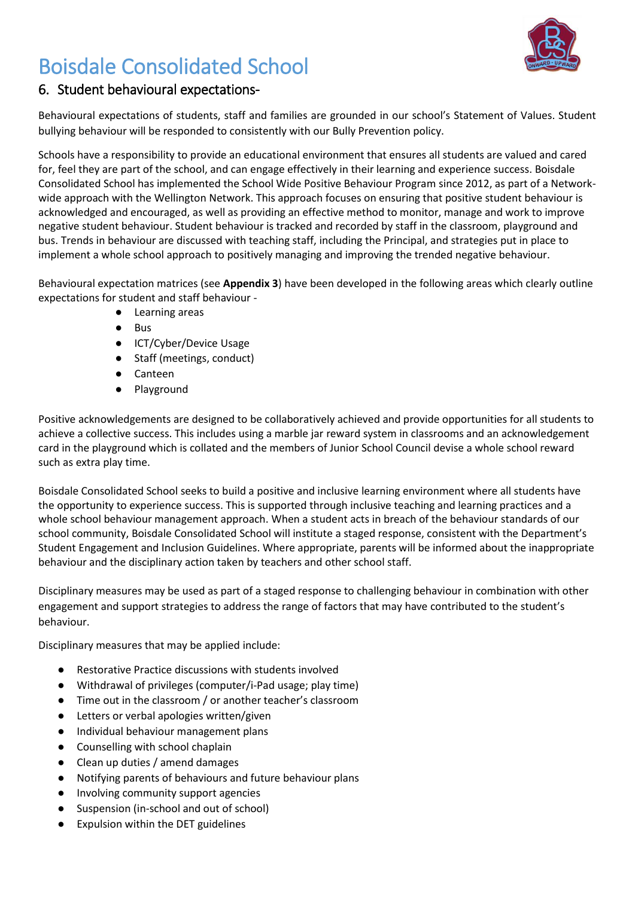

## 6. Student behavioural expectations-

Behavioural expectations of students, staff and families are grounded in our school's Statement of Values. Student bullying behaviour will be responded to consistently with our Bully Prevention policy.

Schools have a responsibility to provide an educational environment that ensures all students are valued and cared for, feel they are part of the school, and can engage effectively in their learning and experience success. Boisdale Consolidated School has implemented the School Wide Positive Behaviour Program since 2012, as part of a Networkwide approach with the Wellington Network. This approach focuses on ensuring that positive student behaviour is acknowledged and encouraged, as well as providing an effective method to monitor, manage and work to improve negative student behaviour. Student behaviour is tracked and recorded by staff in the classroom, playground and bus. Trends in behaviour are discussed with teaching staff, including the Principal, and strategies put in place to implement a whole school approach to positively managing and improving the trended negative behaviour.

Behavioural expectation matrices (see **Appendix 3**) have been developed in the following areas which clearly outline expectations for student and staff behaviour -

- Learning areas
- Bus
- ICT/Cyber/Device Usage
- Staff (meetings, conduct)
- Canteen
- Playground

Positive acknowledgements are designed to be collaboratively achieved and provide opportunities for all students to achieve a collective success. This includes using a marble jar reward system in classrooms and an acknowledgement card in the playground which is collated and the members of Junior School Council devise a whole school reward such as extra play time.

Boisdale Consolidated School seeks to build a positive and inclusive learning environment where all students have the opportunity to experience success. This is supported through inclusive teaching and learning practices and a whole school behaviour management approach. When a student acts in breach of the behaviour standards of our school community, Boisdale Consolidated School will institute a staged response, consistent with the Department's Student Engagement and Inclusion Guidelines. Where appropriate, parents will be informed about the inappropriate behaviour and the disciplinary action taken by teachers and other school staff.

Disciplinary measures may be used as part of a staged response to challenging behaviour in combination with other engagement and support strategies to address the range of factors that may have contributed to the student's behaviour.

Disciplinary measures that may be applied include:

- Restorative Practice discussions with students involved
- Withdrawal of privileges (computer/i-Pad usage; play time)
- Time out in the classroom / or another teacher's classroom
- Letters or verbal apologies written/given
- Individual behaviour management plans
- Counselling with school chaplain
- Clean up duties / amend damages
- Notifying parents of behaviours and future behaviour plans
- Involving community support agencies
- Suspension (in-school and out of school)
- Expulsion within the DET guidelines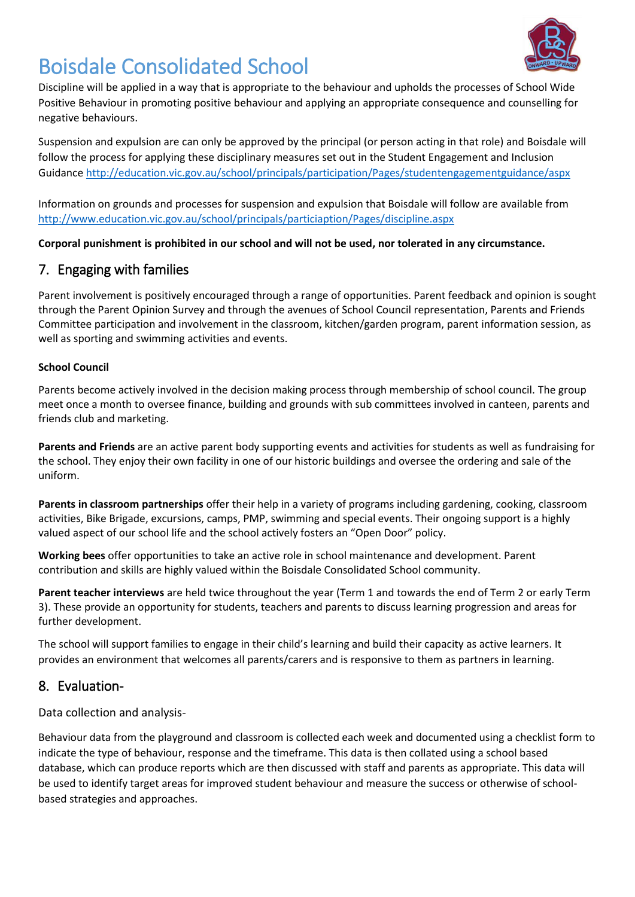

Discipline will be applied in a way that is appropriate to the behaviour and upholds the processes of School Wide Positive Behaviour in promoting positive behaviour and applying an appropriate consequence and counselling for negative behaviours.

Suspension and expulsion are can only be approved by the principal (or person acting in that role) and Boisdale will follow the process for applying these disciplinary measures set out in the Student Engagement and Inclusion Guidanc[e http://education.vic.gov.au/school/principals/participation/Pages/studentengagementguidance/aspx](http://education.vic.gov.au/school/principals/participation/Pages/studentengagementguidance/aspx)

Information on grounds and processes for suspension and expulsion that Boisdale will follow are available from <http://www.education.vic.gov.au/school/principals/particiaption/Pages/discipline.aspx>

**Corporal punishment is prohibited in our school and will not be used, nor tolerated in any circumstance.**

## 7. Engaging with families

Parent involvement is positively encouraged through a range of opportunities. Parent feedback and opinion is sought through the Parent Opinion Survey and through the avenues of School Council representation, Parents and Friends Committee participation and involvement in the classroom, kitchen/garden program, parent information session, as well as sporting and swimming activities and events.

#### **School Council**

Parents become actively involved in the decision making process through membership of school council. The group meet once a month to oversee finance, building and grounds with sub committees involved in canteen, parents and friends club and marketing.

**Parents and Friends** are an active parent body supporting events and activities for students as well as fundraising for the school. They enjoy their own facility in one of our historic buildings and oversee the ordering and sale of the uniform.

**Parents in classroom partnerships** offer their help in a variety of programs including gardening, cooking, classroom activities, Bike Brigade, excursions, camps, PMP, swimming and special events. Their ongoing support is a highly valued aspect of our school life and the school actively fosters an "Open Door" policy.

**Working bees** offer opportunities to take an active role in school maintenance and development. Parent contribution and skills are highly valued within the Boisdale Consolidated School community.

**Parent teacher interviews** are held twice throughout the year (Term 1 and towards the end of Term 2 or early Term 3). These provide an opportunity for students, teachers and parents to discuss learning progression and areas for further development.

The school will support families to engage in their child's learning and build their capacity as active learners. It provides an environment that welcomes all parents/carers and is responsive to them as partners in learning.

## 8. Evaluation-

Data collection and analysis-

Behaviour data from the playground and classroom is collected each week and documented using a checklist form to indicate the type of behaviour, response and the timeframe. This data is then collated using a school based database, which can produce reports which are then discussed with staff and parents as appropriate. This data will be used to identify target areas for improved student behaviour and measure the success or otherwise of schoolbased strategies and approaches.